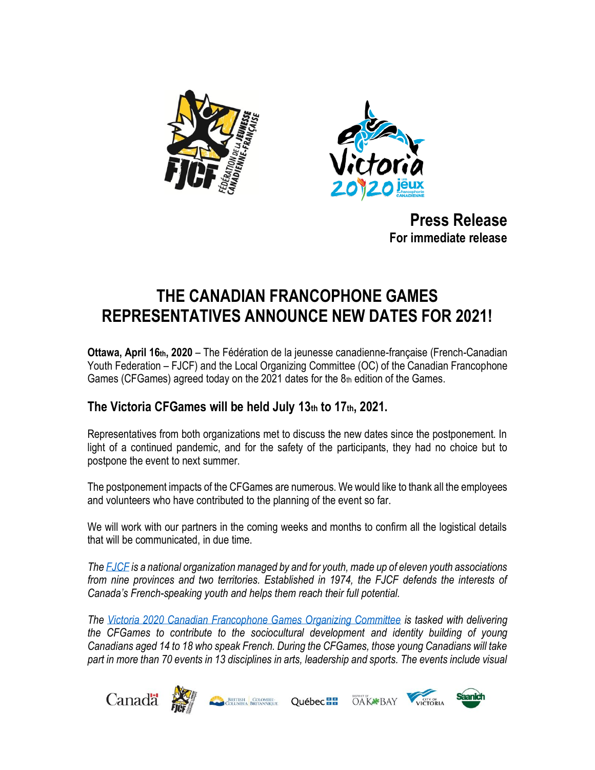



**Press Release For immediate release**

## **THE CANADIAN FRANCOPHONE GAMES REPRESENTATIVES ANNOUNCE NEW DATES FOR 2021!**

**Ottawa, April 16th, 2020** – The Fédération de la jeunesse canadienne-française (French-Canadian Youth Federation – FJCF) and the Local Organizing Committee (OC) of the Canadian Francophone Games (CFGames) agreed today on the 2021 dates for the  $8<sub>th</sub>$  edition of the Games.

## **The Victoria CFGames will be held July 13th to 17th, 2021.**

Representatives from both organizations met to discuss the new dates since the postponement. In light of a continued pandemic, and for the safety of the participants, they had no choice but to postpone the event to next summer.

The postponement impacts of the CFGames are numerous. We would like to thank all the employees and volunteers who have contributed to the planning of the event so far.

We will work with our partners in the coming weeks and months to confirm all the logistical details that will be communicated, in due time.

*The [FJCF](http://www.fjcf.ca/) is a national organization managed by and for youth, made up of eleven youth associations*  from nine provinces and two territories. Established in 1974, the FJCF defends the interests of *Canada's French-speaking youth and helps them reach their full potential.*

*The [Victoria 2020 Canadian Francophone Games Organizing Committee](https://jeuxfc.ca/english/) is tasked with delivering the CFGames to contribute to the sociocultural development and identity building of young Canadians aged 14 to 18 who speak French. During the CFGames, those young Canadians will take part in more than 70 events in 13 disciplines in arts, leadership and sports. The events include visual*